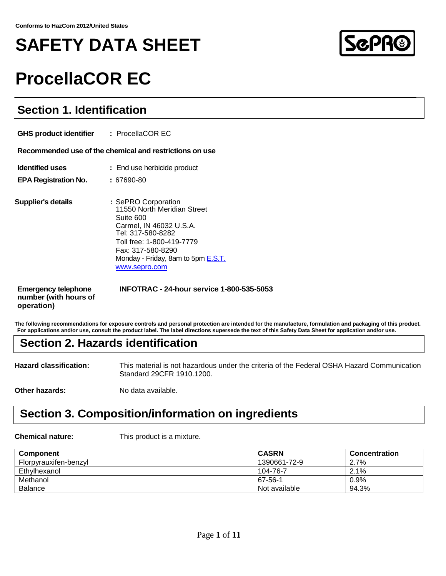# **SAFETY DATA SHEET**



# **ProcellaCOR EC**

# **Section 1. Identification**

| <b>GHS product identifier : ProcellaCOR EC</b>                    |                                                                                                                                                                                                                          |
|-------------------------------------------------------------------|--------------------------------------------------------------------------------------------------------------------------------------------------------------------------------------------------------------------------|
|                                                                   | Recommended use of the chemical and restrictions on use                                                                                                                                                                  |
| <b>Identified uses</b><br><b>EPA Registration No.</b>             | : End use herbicide product<br>: 67690-80                                                                                                                                                                                |
| Supplier's details                                                | : SePRO Corporation<br>11550 North Meridian Street<br>Suite 600<br>Carmel, IN 46032 U.S.A.<br>Tel: 317-580-8282<br>Toll free: 1-800-419-7779<br>Fax: 317-580-8290<br>Monday - Friday, 8am to 5pm E.S.T.<br>www.sepro.com |
| <b>Emergency telephone</b><br>number (with hours of<br>operation) | <b>INFOTRAC - 24-hour service 1-800-535-5053</b>                                                                                                                                                                         |

**The following recommendations for exposure controls and personal protection are intended for the manufacture, formulation and packaging of this product. For applications and/or use, consult the product label. The label directions supersede the text of this Safety Data Sheet for application and/or use.**

# **Section 2. Hazards identification**

**Hazard classification:** This material is not hazardous under the criteria of the Federal OSHA Hazard Communication Standard 29CFR 1910.1200.

**Other hazards:** No data available.

# **Section 3. Composition/information on ingredients**

**Chemical nature:** This product is a mixture.

| <b>Component</b>      | <b>CASRN</b>  | Concentration |
|-----------------------|---------------|---------------|
| Florpyrauxifen-benzyl | 1390661-72-9  | 2.7%          |
| Ethylhexanol          | 104-76-7      | 2.1%          |
| Methanol              | 67-56-1       | $0.9\%$       |
| <b>Balance</b>        | Not available | 94.3%         |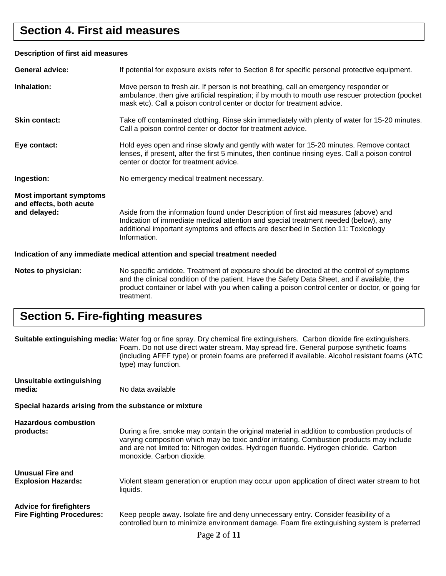# **Section 4. First aid measures**

### **Description of first aid measures**

| <b>General advice:</b>                                                     | If potential for exposure exists refer to Section 8 for specific personal protective equipment.                                                                                                                                                                                               |  |
|----------------------------------------------------------------------------|-----------------------------------------------------------------------------------------------------------------------------------------------------------------------------------------------------------------------------------------------------------------------------------------------|--|
| Inhalation:                                                                | Move person to fresh air. If person is not breathing, call an emergency responder or<br>ambulance, then give artificial respiration; if by mouth to mouth use rescuer protection (pocket<br>mask etc). Call a poison control center or doctor for treatment advice.                           |  |
| <b>Skin contact:</b>                                                       | Take off contaminated clothing. Rinse skin immediately with plenty of water for 15-20 minutes.<br>Call a poison control center or doctor for treatment advice.                                                                                                                                |  |
| Eye contact:                                                               | Hold eyes open and rinse slowly and gently with water for 15-20 minutes. Remove contact<br>lenses, if present, after the first 5 minutes, then continue rinsing eyes. Call a poison control<br>center or doctor for treatment advice.                                                         |  |
| Ingestion:                                                                 | No emergency medical treatment necessary.                                                                                                                                                                                                                                                     |  |
| <b>Most important symptoms</b><br>and effects, both acute<br>and delayed:  | Aside from the information found under Description of first aid measures (above) and<br>Indication of immediate medical attention and special treatment needed (below), any<br>additional important symptoms and effects are described in Section 11: Toxicology<br>Information.              |  |
| Indication of any immediate medical attention and special treatment needed |                                                                                                                                                                                                                                                                                               |  |
| Notes to physician:                                                        | No specific antidote. Treatment of exposure should be directed at the control of symptoms<br>and the clinical condition of the patient. Have the Safety Data Sheet, and if available, the<br>product container or label with you when calling a poison control center or doctor, or going for |  |

# **Section 5. Fire-fighting measures**

treatment.

|                                                                    | Suitable extinguishing media: Water fog or fine spray. Dry chemical fire extinguishers. Carbon dioxide fire extinguishers.<br>Foam. Do not use direct water stream. May spread fire. General purpose synthetic foams<br>(including AFFF type) or protein foams are preferred if available. Alcohol resistant foams (ATC<br>type) may function. |
|--------------------------------------------------------------------|------------------------------------------------------------------------------------------------------------------------------------------------------------------------------------------------------------------------------------------------------------------------------------------------------------------------------------------------|
| Unsuitable extinguishing<br>media:                                 | No data available                                                                                                                                                                                                                                                                                                                              |
| Special hazards arising from the substance or mixture              |                                                                                                                                                                                                                                                                                                                                                |
| <b>Hazardous combustion</b><br>products:                           | During a fire, smoke may contain the original material in addition to combustion products of<br>varying composition which may be toxic and/or irritating. Combustion products may include<br>and are not limited to: Nitrogen oxides. Hydrogen fluoride. Hydrogen chloride. Carbon<br>monoxide. Carbon dioxide.                                |
| <b>Unusual Fire and</b><br><b>Explosion Hazards:</b>               | Violent steam generation or eruption may occur upon application of direct water stream to hot<br>liquids.                                                                                                                                                                                                                                      |
| <b>Advice for firefighters</b><br><b>Fire Fighting Procedures:</b> | Keep people away. Isolate fire and deny unnecessary entry. Consider feasibility of a<br>controlled burn to minimize environment damage. Foam fire extinguishing system is preferred<br>$D_{\alpha\alpha\alpha}$ 2 $\alpha$ f 11                                                                                                                |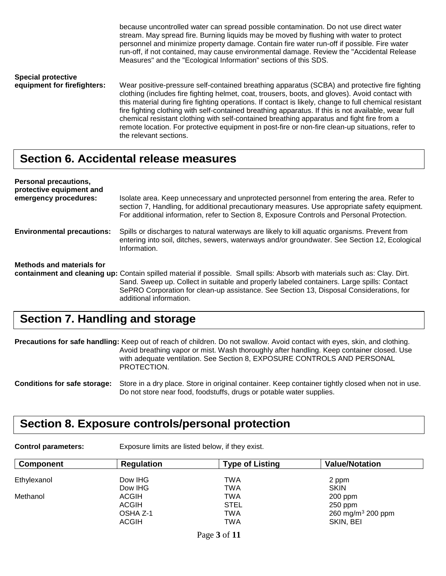because uncontrolled water can spread possible contamination. Do not use direct water stream. May spread fire. Burning liquids may be moved by flushing with water to protect personnel and minimize property damage. Contain fire water run-off if possible. Fire water run-off, if not contained, may cause environmental damage. Review the "Accidental Release Measures" and the "Ecological Information" sections of this SDS. **Special protective**  Wear positive-pressure self-contained breathing apparatus (SCBA) and protective fire fighting clothing (includes fire fighting helmet, coat, trousers, boots, and gloves). Avoid contact with this material during fire fighting operations. If contact is likely, change to full chemical resistant fire fighting clothing with self-contained breathing apparatus. If this is not available, wear full chemical resistant clothing with self-contained breathing apparatus and fight fire from a remote location. For protective equipment in post-fire or non-fire clean-up situations, refer to

# **Section 6. Accidental release measures**

the relevant sections.

| Personal precautions,<br>protective equipment and |                                                                                                                                                                                                                                                                                                                                                 |
|---------------------------------------------------|-------------------------------------------------------------------------------------------------------------------------------------------------------------------------------------------------------------------------------------------------------------------------------------------------------------------------------------------------|
| emergency procedures:                             | Isolate area. Keep unnecessary and unprotected personnel from entering the area. Refer to<br>section 7, Handling, for additional precautionary measures. Use appropriate safety equipment.<br>For additional information, refer to Section 8, Exposure Controls and Personal Protection.                                                        |
| <b>Environmental precautions:</b>                 | Spills or discharges to natural waterways are likely to kill aquatic organisms. Prevent from<br>entering into soil, ditches, sewers, waterways and/or groundwater. See Section 12, Ecological<br>Information.                                                                                                                                   |
| Methods and materials for                         |                                                                                                                                                                                                                                                                                                                                                 |
|                                                   | containment and cleaning up: Contain spilled material if possible. Small spills: Absorb with materials such as: Clay. Dirt.<br>Sand. Sweep up. Collect in suitable and properly labeled containers. Large spills: Contact<br>SePRO Corporation for clean-up assistance. See Section 13, Disposal Considerations, for<br>additional information. |

# **Section 7. Handling and storage**

**Precautions for safe handling:** Keep out of reach of children. Do not swallow. Avoid contact with eyes, skin, and clothing. Avoid breathing vapor or mist. Wash thoroughly after handling. Keep container closed. Use with adequate ventilation. See Section 8, EXPOSURE CONTROLS AND PERSONAL PROTECTION.

**Conditions for safe storage:** Store in a dry place. Store in original container. Keep container tightly closed when not in use. Do not store near food, foodstuffs, drugs or potable water supplies.

# **Section 8. Exposure controls/personal protection**

**Control parameters:** Exposure limits are listed below, if they exist.

| <b>Component</b> | <b>Regulation</b> | <b>Type of Listing</b> | <b>Value/Notation</b>         |
|------------------|-------------------|------------------------|-------------------------------|
| Ethylexanol      | Dow IHG           | TWA                    | 2 ppm                         |
|                  | Dow IHG           | TWA                    | <b>SKIN</b>                   |
| Methanol         | <b>ACGIH</b>      | TWA                    | $200$ ppm                     |
|                  | <b>ACGIH</b>      | <b>STEL</b>            | $250$ ppm                     |
|                  | OSHA Z-1          | TWA                    | 260 mg/m <sup>3</sup> 200 ppm |
|                  | <b>ACGIH</b>      | TWA                    | SKIN, BEI                     |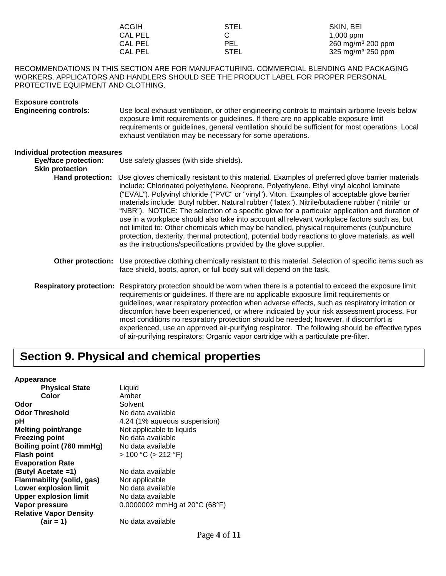| ACGIH   | <b>STEL</b> | SKIN, BEI                     |
|---------|-------------|-------------------------------|
| CAL PEL |             | $1,000$ ppm                   |
| CAL PEL | PEL         | 260 mg/m <sup>3</sup> 200 ppm |
| CAL PEL | <b>STEL</b> | 325 mg/m <sup>3</sup> 250 ppm |

### RECOMMENDATIONS IN THIS SECTION ARE FOR MANUFACTURING, COMMERCIAL BLENDING AND PACKAGING WORKERS. APPLICATORS AND HANDLERS SHOULD SEE THE PRODUCT LABEL FOR PROPER PERSONAL PROTECTIVE EQUIPMENT AND CLOTHING.

| <b>Exposure controls</b><br><b>Engineering controls:</b>                                | Use local exhaust ventilation, or other engineering controls to maintain airborne levels below<br>exposure limit requirements or guidelines. If there are no applicable exposure limit<br>requirements or guidelines, general ventilation should be sufficient for most operations. Local<br>exhaust ventilation may be necessary for some operations.                                                                                                                                                                                                                                                                                                                                                                                                                                                                                                                   |
|-----------------------------------------------------------------------------------------|--------------------------------------------------------------------------------------------------------------------------------------------------------------------------------------------------------------------------------------------------------------------------------------------------------------------------------------------------------------------------------------------------------------------------------------------------------------------------------------------------------------------------------------------------------------------------------------------------------------------------------------------------------------------------------------------------------------------------------------------------------------------------------------------------------------------------------------------------------------------------|
| Individual protection measures<br><b>Eye/face protection:</b><br><b>Skin protection</b> | Use safety glasses (with side shields).                                                                                                                                                                                                                                                                                                                                                                                                                                                                                                                                                                                                                                                                                                                                                                                                                                  |
| <b>Hand protection:</b>                                                                 | Use gloves chemically resistant to this material. Examples of preferred glove barrier materials<br>include: Chlorinated polyethylene. Neoprene. Polyethylene. Ethyl vinyl alcohol laminate<br>("EVAL"). Polyvinyl chloride ("PVC" or "vinyl"). Viton. Examples of acceptable glove barrier<br>materials include: Butyl rubber. Natural rubber ("latex"). Nitrile/butadiene rubber ("nitrile" or<br>"NBR"). NOTICE: The selection of a specific glove for a particular application and duration of<br>use in a workplace should also take into account all relevant workplace factors such as, but<br>not limited to: Other chemicals which may be handled, physical requirements (cut/puncture<br>protection, dexterity, thermal protection), potential body reactions to glove materials, as well<br>as the instructions/specifications provided by the glove supplier. |
| Other protection:                                                                       | Use protective clothing chemically resistant to this material. Selection of specific items such as<br>face shield, boots, apron, or full body suit will depend on the task.                                                                                                                                                                                                                                                                                                                                                                                                                                                                                                                                                                                                                                                                                              |
|                                                                                         | Respiratory protection: Respiratory protection should be worn when there is a potential to exceed the exposure limit<br>requirements or guidelines. If there are no applicable exposure limit requirements or<br>guidelines, wear respiratory protection when adverse effects, such as respiratory irritation or<br>discomfort have been experienced, or where indicated by your risk assessment process. For<br>most conditions no respiratory protection should be needed; however, if discomfort is<br>experienced, use an approved air-purifying respirator. The following should be effective types<br>of air-purifying respirators: Organic vapor cartridge with a particulate pre-filter.                                                                                                                                                                         |

# **Section 9. Physical and chemical properties**

#### **Appearance**

| <b>Physical State</b>         | Liquid                                             |
|-------------------------------|----------------------------------------------------|
| Color                         | Amber                                              |
| Odor                          | Solvent                                            |
| Odor Threshold                | No data available                                  |
| рH                            | 4.24 (1% aqueous suspension)                       |
| Melting point/range           | Not applicable to liquids                          |
| <b>Freezing point</b>         | No data available                                  |
| Boiling point (760 mmHg)      | No data available                                  |
| <b>Flash point</b>            | $> 100 °C$ ( $> 212 °F$ )                          |
| <b>Evaporation Rate</b>       |                                                    |
| (Butyl Acetate =1)            | No data available                                  |
| Flammability (solid, gas)     | Not applicable                                     |
| <b>Lower explosion limit</b>  | No data available                                  |
| <b>Upper explosion limit</b>  | No data available                                  |
| Vapor pressure                | 0.0000002 mmHg at $20^{\circ}$ C (68 $^{\circ}$ F) |
| <b>Relative Vapor Density</b> |                                                    |
| $(air = 1)$                   | No data available                                  |
|                               |                                                    |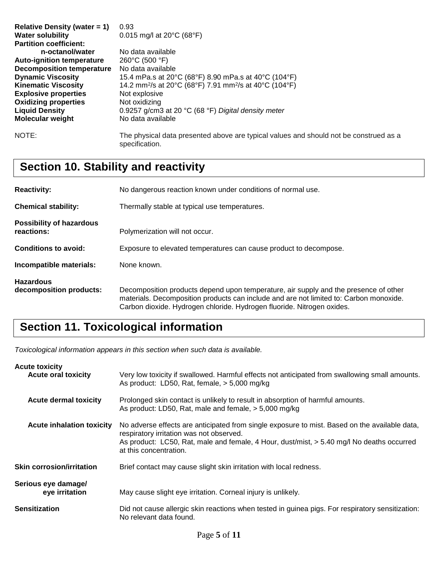| Relative Density (water $= 1$ )<br><b>Water solubility</b><br><b>Partition coefficient:</b><br>n-octanol/water<br><b>Auto-ignition temperature</b><br><b>Decomposition temperature</b><br><b>Dynamic Viscosity</b><br><b>Kinematic Viscosity</b><br><b>Explosive properties</b><br><b>Oxidizing properties</b> | 0.93<br>0.015 mg/l at $20^{\circ}$ C (68 $^{\circ}$ F)<br>No data available<br>$260^{\circ}$ C (500 $^{\circ}$ F)<br>No data available<br>15.4 mPa.s at 20°C (68°F) 8.90 mPa.s at 40°C (104°F)<br>14.2 mm <sup>2</sup> /s at 20°C (68°F) 7.91 mm <sup>2</sup> /s at 40°C (104°F)<br>Not explosive<br>Not oxidizing |
|----------------------------------------------------------------------------------------------------------------------------------------------------------------------------------------------------------------------------------------------------------------------------------------------------------------|--------------------------------------------------------------------------------------------------------------------------------------------------------------------------------------------------------------------------------------------------------------------------------------------------------------------|
| <b>Liquid Density</b><br><b>Molecular weight</b>                                                                                                                                                                                                                                                               | 0.9257 g/cm3 at 20 $^{\circ}$ C (68 $^{\circ}$ F) Digital density meter<br>No data available                                                                                                                                                                                                                       |
| NOTE:                                                                                                                                                                                                                                                                                                          | The physical data presented above are typical values and should not be construed as a<br>specification.                                                                                                                                                                                                            |

# **Section 10. Stability and reactivity**

| <b>Reactivity:</b>                            | No dangerous reaction known under conditions of normal use.                                                                                                                                                                                              |  |
|-----------------------------------------------|----------------------------------------------------------------------------------------------------------------------------------------------------------------------------------------------------------------------------------------------------------|--|
| <b>Chemical stability:</b>                    | Thermally stable at typical use temperatures.                                                                                                                                                                                                            |  |
| <b>Possibility of hazardous</b><br>reactions: | Polymerization will not occur.                                                                                                                                                                                                                           |  |
| <b>Conditions to avoid:</b>                   | Exposure to elevated temperatures can cause product to decompose.                                                                                                                                                                                        |  |
| Incompatible materials:                       | None known.                                                                                                                                                                                                                                              |  |
| <b>Hazardous</b><br>decomposition products:   | Decomposition products depend upon temperature, air supply and the presence of other<br>materials. Decomposition products can include and are not limited to: Carbon monoxide.<br>Carbon dioxide. Hydrogen chloride. Hydrogen fluoride. Nitrogen oxides. |  |

# **Section 11. Toxicological information**

*Toxicological information appears in this section when such data is available.*

| <b>Acute toxicity</b><br><b>Acute oral toxicity</b> | Very low toxicity if swallowed. Harmful effects not anticipated from swallowing small amounts.<br>As product: LD50, Rat, female, > 5,000 mg/kg                                                                                                                   |
|-----------------------------------------------------|------------------------------------------------------------------------------------------------------------------------------------------------------------------------------------------------------------------------------------------------------------------|
| <b>Acute dermal toxicity</b>                        | Prolonged skin contact is unlikely to result in absorption of harmful amounts.<br>As product: LD50, Rat, male and female, > 5,000 mg/kg                                                                                                                          |
| <b>Acute inhalation toxicity</b>                    | No adverse effects are anticipated from single exposure to mist. Based on the available data,<br>respiratory irritation was not observed.<br>As product: LC50, Rat, male and female, 4 Hour, dust/mist, > 5.40 mg/l No deaths occurred<br>at this concentration. |
| <b>Skin corrosion/irritation</b>                    | Brief contact may cause slight skin irritation with local redness.                                                                                                                                                                                               |
| Serious eye damage/<br>eye irritation               | May cause slight eye irritation. Corneal injury is unlikely.                                                                                                                                                                                                     |
| <b>Sensitization</b>                                | Did not cause allergic skin reactions when tested in guinea pigs. For respiratory sensitization:<br>No relevant data found.                                                                                                                                      |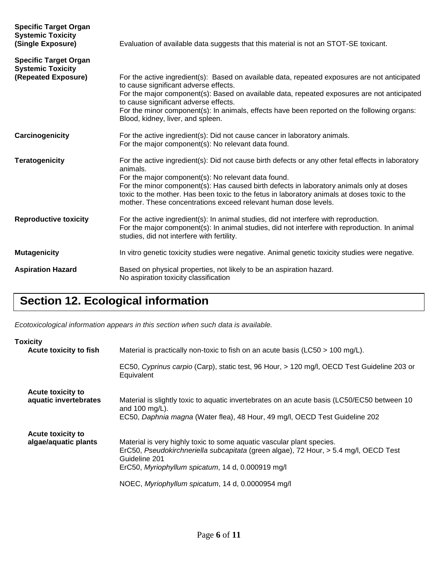| <b>Specific Target Organ</b><br><b>Systemic Toxicity</b><br>(Single Exposure)   | Evaluation of available data suggests that this material is not an STOT-SE toxicant.                                                                                                                                                                                                                                                                                                                                                 |
|---------------------------------------------------------------------------------|--------------------------------------------------------------------------------------------------------------------------------------------------------------------------------------------------------------------------------------------------------------------------------------------------------------------------------------------------------------------------------------------------------------------------------------|
| <b>Specific Target Organ</b><br><b>Systemic Toxicity</b><br>(Repeated Exposure) | For the active ingredient(s): Based on available data, repeated exposures are not anticipated<br>to cause significant adverse effects.<br>For the major component(s): Based on available data, repeated exposures are not anticipated<br>to cause significant adverse effects.<br>For the minor component(s): In animals, effects have been reported on the following organs:<br>Blood, kidney, liver, and spleen.                   |
| Carcinogenicity                                                                 | For the active ingredient(s): Did not cause cancer in laboratory animals.<br>For the major component(s): No relevant data found.                                                                                                                                                                                                                                                                                                     |
| <b>Teratogenicity</b>                                                           | For the active ingredient(s): Did not cause birth defects or any other fetal effects in laboratory<br>animals.<br>For the major component(s): No relevant data found.<br>For the minor component(s): Has caused birth defects in laboratory animals only at doses<br>toxic to the mother. Has been toxic to the fetus in laboratory animals at doses toxic to the<br>mother. These concentrations exceed relevant human dose levels. |
| <b>Reproductive toxicity</b>                                                    | For the active ingredient(s): In animal studies, did not interfere with reproduction.<br>For the major component(s): In animal studies, did not interfere with reproduction. In animal<br>studies, did not interfere with fertility.                                                                                                                                                                                                 |
| <b>Mutagenicity</b>                                                             | In vitro genetic toxicity studies were negative. Animal genetic toxicity studies were negative.                                                                                                                                                                                                                                                                                                                                      |
| <b>Aspiration Hazard</b>                                                        | Based on physical properties, not likely to be an aspiration hazard.<br>No aspiration toxicity classification                                                                                                                                                                                                                                                                                                                        |

# **Section 12. Ecological information**

*Ecotoxicological information appears in this section when such data is available.*

| <b>Toxicity</b><br>Acute toxicity to fish         | Material is practically non-toxic to fish on an acute basis ( $\text{LCS0} > 100 \text{ mg/L}$ ).                                                                                                                                   |
|---------------------------------------------------|-------------------------------------------------------------------------------------------------------------------------------------------------------------------------------------------------------------------------------------|
|                                                   | EC50, Cyprinus carpio (Carp), static test, 96 Hour, > 120 mg/l, OECD Test Guideline 203 or<br>Equivalent                                                                                                                            |
| <b>Acute toxicity to</b><br>aquatic invertebrates | Material is slightly toxic to aquatic invertebrates on an acute basis (LC50/EC50 between 10<br>and 100 mg/L).<br>EC50, Daphnia magna (Water flea), 48 Hour, 49 mg/l, OECD Test Guideline 202                                        |
| Acute toxicity to<br>algae/aquatic plants         | Material is very highly toxic to some aquatic vascular plant species.<br>ErC50, Pseudokirchneriella subcapitata (green algae), 72 Hour, > 5.4 mg/l, OECD Test<br>Guideline 201<br>ErC50, Myriophyllum spicatum, 14 d, 0.000919 mg/l |
|                                                   | NOEC, Myriophyllum spicatum, 14 d, 0.0000954 mg/l                                                                                                                                                                                   |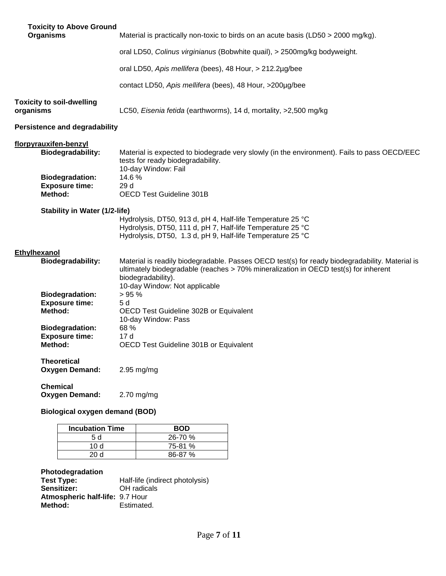|              | <b>Toxicity to Above Ground</b><br><b>Organisms</b>        | Material is practically non-toxic to birds on an acute basis (LD50 > 2000 mg/kg).                                                                                                                                                            |
|--------------|------------------------------------------------------------|----------------------------------------------------------------------------------------------------------------------------------------------------------------------------------------------------------------------------------------------|
|              |                                                            | oral LD50, Colinus virginianus (Bobwhite quail), > 2500mg/kg bodyweight.                                                                                                                                                                     |
|              |                                                            | oral LD50, Apis mellifera (bees), 48 Hour, > 212.2µg/bee                                                                                                                                                                                     |
|              |                                                            | contact LD50, Apis mellifera (bees), 48 Hour, >200µg/bee                                                                                                                                                                                     |
| organisms    | <b>Toxicity to soil-dwelling</b>                           | LC50, Eisenia fetida (earthworms), 14 d, mortality, >2,500 mg/kg                                                                                                                                                                             |
|              | <b>Persistence and degradability</b>                       |                                                                                                                                                                                                                                              |
|              | florpyrauxifen-benzyl<br><b>Biodegradability:</b>          | Material is expected to biodegrade very slowly (in the environment). Fails to pass OECD/EEC<br>tests for ready biodegradability.<br>10-day Window: Fail                                                                                      |
|              | <b>Biodegradation:</b><br><b>Exposure time:</b><br>Method: | 14.6%<br>29 d<br><b>OECD Test Guideline 301B</b>                                                                                                                                                                                             |
|              | <b>Stability in Water (1/2-life)</b>                       |                                                                                                                                                                                                                                              |
|              |                                                            | Hydrolysis, DT50, 913 d, pH 4, Half-life Temperature 25 °C<br>Hydrolysis, DT50, 111 d, pH 7, Half-life Temperature 25 °C<br>Hydrolysis, DT50, 1.3 d, pH 9, Half-life Temperature 25 °C                                                       |
| Ethylhexanol |                                                            |                                                                                                                                                                                                                                              |
|              | <b>Biodegradability:</b>                                   | Material is readily biodegradable. Passes OECD test(s) for ready biodegradability. Material is<br>ultimately biodegradable (reaches > 70% mineralization in OECD test(s) for inherent<br>biodegradability).<br>10-day Window: Not applicable |
|              | <b>Biodegradation:</b>                                     | >95%                                                                                                                                                                                                                                         |
|              | <b>Exposure time:</b><br>Method:                           | 5 d<br>OECD Test Guideline 302B or Equivalent                                                                                                                                                                                                |
|              | <b>Biodegradation:</b>                                     | 10-day Window: Pass<br>68 %                                                                                                                                                                                                                  |
|              | <b>Exposure time:</b><br>Method:                           | 17 d<br>OECD Test Guideline 301B or Equivalent                                                                                                                                                                                               |
|              |                                                            |                                                                                                                                                                                                                                              |
|              | <b>Theoretical</b><br><b>Oxygen Demand:</b>                | $2.95$ mg/mg                                                                                                                                                                                                                                 |
|              | <b>Chemical</b><br><b>Oxygen Demand:</b>                   | $2.70$ mg/mg                                                                                                                                                                                                                                 |

### **Biological oxygen demand (BOD)**

| <b>Incubation Time</b> | <b>BOD</b> |
|------------------------|------------|
| 5 d                    | 26-70 %    |
| 10 d                   | 75-81 %    |
| 20 Y                   | $86-87%$   |

### **Photodegradation**

| Test Type:                             | Half-life (indirect photolysis) |
|----------------------------------------|---------------------------------|
| <b>Sensitizer:</b>                     | OH radicals                     |
| <b>Atmospheric half-life: 9.7 Hour</b> |                                 |
| Method:                                | Estimated.                      |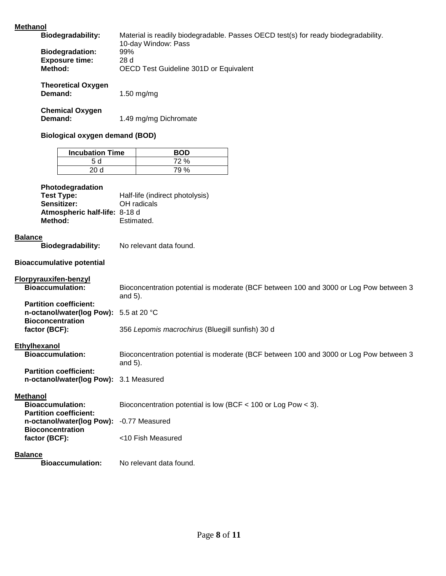### **Metha**

| <b>Methanol</b> |                                                                   |                                                                                       |
|-----------------|-------------------------------------------------------------------|---------------------------------------------------------------------------------------|
|                 | <b>Biodegradability:</b>                                          | Material is readily biodegradable. Passes OECD test(s) for ready biodegradability.    |
|                 |                                                                   | 10-day Window: Pass                                                                   |
|                 | <b>Biodegradation:</b><br><b>Exposure time:</b>                   | 99%<br>28 d                                                                           |
|                 | Method:                                                           | OECD Test Guideline 301D or Equivalent                                                |
|                 |                                                                   |                                                                                       |
|                 | <b>Theoretical Oxygen</b>                                         |                                                                                       |
|                 | Demand:                                                           | 1.50 mg/mg                                                                            |
|                 |                                                                   |                                                                                       |
|                 | <b>Chemical Oxygen</b><br>Demand:                                 | 1.49 mg/mg Dichromate                                                                 |
|                 |                                                                   |                                                                                       |
|                 | <b>Biological oxygen demand (BOD)</b>                             |                                                                                       |
|                 | <b>Incubation Time</b>                                            |                                                                                       |
|                 | 5d                                                                | <b>BOD</b><br>72 %                                                                    |
|                 | 20d                                                               | 79 %                                                                                  |
|                 |                                                                   |                                                                                       |
|                 | Photodegradation                                                  |                                                                                       |
|                 | <b>Test Type:</b>                                                 | Half-life (indirect photolysis)                                                       |
|                 | Sensitizer:                                                       | OH radicals                                                                           |
|                 | Atmospheric half-life: 8-18 d<br>Method:                          | Estimated.                                                                            |
|                 |                                                                   |                                                                                       |
| <b>Balance</b>  |                                                                   |                                                                                       |
|                 | <b>Biodegradability:</b>                                          | No relevant data found.                                                               |
|                 |                                                                   |                                                                                       |
|                 | <b>Bioaccumulative potential</b>                                  |                                                                                       |
|                 | <b>Florpyrauxifen-benzyl</b>                                      |                                                                                       |
|                 | <b>Bioaccumulation:</b>                                           | Bioconcentration potential is moderate (BCF between 100 and 3000 or Log Pow between 3 |
|                 |                                                                   | and 5).                                                                               |
|                 | <b>Partition coefficient:</b>                                     |                                                                                       |
|                 | n-octanol/water(log Pow): 5.5 at 20 °C<br><b>Bioconcentration</b> |                                                                                       |
|                 | factor (BCF):                                                     | 356 Lepomis macrochirus (Bluegill sunfish) 30 d                                       |
|                 |                                                                   |                                                                                       |
| Ethylhexanol    |                                                                   |                                                                                       |
|                 | <b>Bioaccumulation:</b>                                           | Bioconcentration potential is moderate (BCF between 100 and 3000 or Log Pow between 3 |
|                 | <b>Partition coefficient:</b>                                     | and 5).                                                                               |
|                 |                                                                   |                                                                                       |

**n-octanol/water(log Pow):** 3.1 Measured

### **Methanol**

| <b>Bioaccumulation:</b><br><b>Partition coefficient:</b>            | Bioconcentration potential is low (BCF $<$ 100 or Log Pow $<$ 3). |
|---------------------------------------------------------------------|-------------------------------------------------------------------|
| n-octanol/water(log Pow): -0.77 Measured<br><b>Bioconcentration</b> |                                                                   |
| factor (BCF):                                                       | <10 Fish Measured                                                 |

**Balance**<br>**Bioaccumulation:** No relevant data found.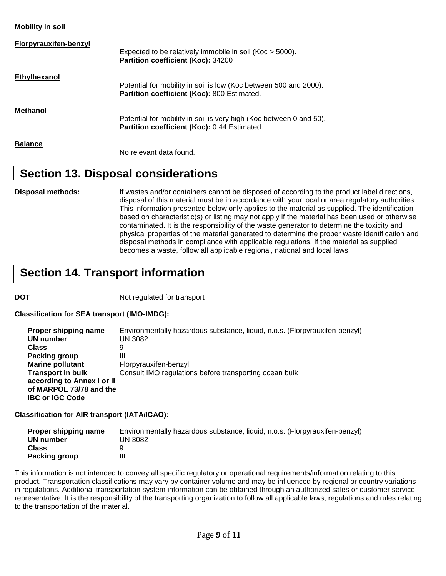**Mobility in soil**

| <b>Florpyrauxifen-benzyl</b> | Expected to be relatively immobile in soil (Koc > 5000).<br>Partition coefficient (Koc): 34200                      |
|------------------------------|---------------------------------------------------------------------------------------------------------------------|
| Ethylhexanol                 | Potential for mobility in soil is low (Koc between 500 and 2000).<br>Partition coefficient (Koc): 800 Estimated.    |
| Methanol                     | Potential for mobility in soil is very high (Koc between 0 and 50).<br>Partition coefficient (Koc): 0.44 Estimated. |
| <b>Balance</b>               | No relevant data found.                                                                                             |

### **Section 13. Disposal considerations**

**Disposal methods:** If wastes and/or containers cannot be disposed of according to the product label directions, disposal of this material must be in accordance with your local or area regulatory authorities. This information presented below only applies to the material as supplied. The identification based on characteristic(s) or listing may not apply if the material has been used or otherwise contaminated. It is the responsibility of the waste generator to determine the toxicity and physical properties of the material generated to determine the proper waste identification and disposal methods in compliance with applicable regulations. If the material as supplied becomes a waste, follow all applicable regional, national and local laws.

# **Section 14. Transport information**

**DOT** Not regulated for transport

**Classification for SEA transport (IMO-IMDG):**

| Proper shipping name       | Environmentally hazardous substance, liquid, n.o.s. (Florpyrauxifen-benzyl) |
|----------------------------|-----------------------------------------------------------------------------|
| UN number                  | UN 3082                                                                     |
| <b>Class</b>               | 9                                                                           |
| Packing group              | Ш                                                                           |
| <b>Marine pollutant</b>    | Florpyrauxifen-benzyl                                                       |
| <b>Transport in bulk</b>   | Consult IMO regulations before transporting ocean bulk                      |
| according to Annex I or II |                                                                             |
| of MARPOL 73/78 and the    |                                                                             |
| <b>IBC or IGC Code</b>     |                                                                             |

**Classification for AIR transport (IATA/ICAO):**

| Proper shipping name | Environmentally hazardous substance, liquid, n.o.s. (Florpyrauxifen-benzyl) |
|----------------------|-----------------------------------------------------------------------------|
| UN number            | UN 3082                                                                     |
| Class                |                                                                             |
| <b>Packing group</b> |                                                                             |

This information is not intended to convey all specific regulatory or operational requirements/information relating to this product. Transportation classifications may vary by container volume and may be influenced by regional or country variations in regulations. Additional transportation system information can be obtained through an authorized sales or customer service representative. It is the responsibility of the transporting organization to follow all applicable laws, regulations and rules relating to the transportation of the material.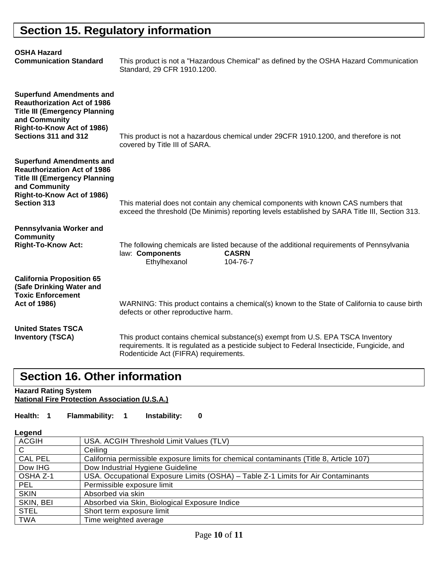# **Section 15. Regulatory information**

| <b>OSHA Hazard</b><br><b>Communication Standard</b>                                                                                                                                  | This product is not a "Hazardous Chemical" as defined by the OSHA Hazard Communication<br>Standard, 29 CFR 1910.1200.                                                                                                   |
|--------------------------------------------------------------------------------------------------------------------------------------------------------------------------------------|-------------------------------------------------------------------------------------------------------------------------------------------------------------------------------------------------------------------------|
| <b>Superfund Amendments and</b><br><b>Reauthorization Act of 1986</b><br><b>Title III (Emergency Planning</b><br>and Community<br>Right-to-Know Act of 1986)<br>Sections 311 and 312 | This product is not a hazardous chemical under 29CFR 1910.1200, and therefore is not<br>covered by Title III of SARA.                                                                                                   |
| <b>Superfund Amendments and</b><br><b>Reauthorization Act of 1986</b><br><b>Title III (Emergency Planning</b><br>and Community<br>Right-to-Know Act of 1986)<br><b>Section 313</b>   | This material does not contain any chemical components with known CAS numbers that<br>exceed the threshold (De Minimis) reporting levels established by SARA Title III, Section 313.                                    |
| Pennsylvania Worker and<br><b>Community</b><br><b>Right-To-Know Act:</b>                                                                                                             | The following chemicals are listed because of the additional requirements of Pennsylvania<br>law: Components<br><b>CASRN</b><br>Ethylhexanol<br>104-76-7                                                                |
| <b>California Proposition 65</b><br>(Safe Drinking Water and<br><b>Toxic Enforcement</b><br>Act of 1986)                                                                             | WARNING: This product contains a chemical(s) known to the State of California to cause birth<br>defects or other reproductive harm.                                                                                     |
| <b>United States TSCA</b><br><b>Inventory (TSCA)</b>                                                                                                                                 | This product contains chemical substance(s) exempt from U.S. EPA TSCA Inventory<br>requirements. It is regulated as a pesticide subject to Federal Insecticide, Fungicide, and<br>Rodenticide Act (FIFRA) requirements. |

# **Section 16. Other information**

**Hazard Rating System National Fire Protection Association (U.S.A.)**

### **Health: 1 Flammability: 1 Instability: 0**

| <b>ACGIH</b>   | USA. ACGIH Threshold Limit Values (TLV)                                                 |
|----------------|-----------------------------------------------------------------------------------------|
| C              | Ceiling                                                                                 |
| <b>CAL PEL</b> | California permissible exposure limits for chemical contaminants (Title 8, Article 107) |
| Dow IHG        | Dow Industrial Hygiene Guideline                                                        |
| OSHA Z-1       | USA. Occupational Exposure Limits (OSHA) - Table Z-1 Limits for Air Contaminants        |
| <b>PEL</b>     | Permissible exposure limit                                                              |
| <b>SKIN</b>    | Absorbed via skin                                                                       |
| SKIN, BEI      | Absorbed via Skin, Biological Exposure Indice                                           |
| <b>STEL</b>    | Short term exposure limit                                                               |
| <b>TWA</b>     | Time weighted average                                                                   |